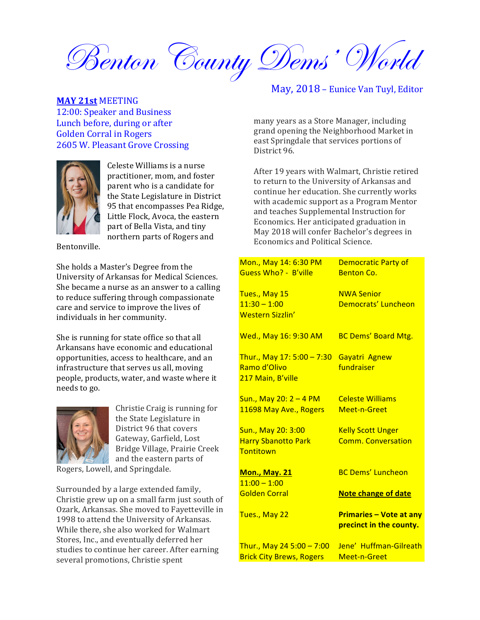Benton County Dems' World

#### **MAY 21st** MEETING

12:00: Speaker and Business Lunch before, during or after Golden Corral in Rogers 2605 W. Pleasant Grove Crossing



Celeste Williams is a nurse practitioner, mom, and foster parent who is a candidate for the State Legislature in District 95 that encompasses Pea Ridge, Little Flock, Avoca, the eastern part of Bella Vista, and tiny northern parts of Rogers and

Bentonville. 

She holds a Master's Degree from the University of Arkansas for Medical Sciences. She became a nurse as an answer to a calling to reduce suffering through compassionate care and service to improve the lives of individuals in her community.

She is running for state office so that all Arkansans have economic and educational opportunities, access to healthcare, and an infrastructure that serves us all, moving people, products, water, and waste where it needs to go.



Christie Craig is running for the State Legislature in District 96 that covers Gateway, Garfield, Lost Bridge Village, Prairie Creek and the eastern parts of

Rogers, Lowell, and Springdale.

Surrounded by a large extended family, Christie grew up on a small farm just south of Ozark, Arkansas. She moved to Fayetteville in 1998 to attend the University of Arkansas. While there, she also worked for Walmart Stores, Inc., and eventually deferred her studies to continue her career. After earning several promotions, Christie spent

## May, 2018 – Eunice Van Tuyl, Editor

many years as a Store Manager, including grand opening the Neighborhood Market in east Springdale that services portions of District 96.

After 19 years with Walmart, Christie retired to return to the University of Arkansas and continue her education. She currently works with academic support as a Program Mentor and teaches Supplemental Instruction for Economics. Her anticipated graduation in May 2018 will confer Bachelor's degrees in Economics and Political Science.

| Mon., May 14: 6:30 PM<br><b>Guess Who? - B'ville</b>            | <b>Democratic Party of</b><br><b>Benton Co.</b>           |
|-----------------------------------------------------------------|-----------------------------------------------------------|
| Tues., May 15<br>$11:30 - 1:00$<br><b>Western Sizzlin'</b>      | <b>NWA Senior</b><br>Democrats' Luncheon                  |
| Wed., May 16: 9:30 AM                                           | <b>BC Dems' Board Mtg.</b>                                |
| Thur., May 17: 5:00 - 7:30<br>Ramo d'Olivo<br>217 Main, B'ville | Gayatri Agnew<br>fundraiser                               |
| Sun., May 20: 2 - 4 PM<br>11698 May Ave., Rogers                | <b>Celeste Williams</b><br>Meet-n-Greet                   |
| Sun., May 20: 3:00<br><b>Harry Sbanotto Park</b><br>Tontitown   | <b>Kelly Scott Unger</b><br><b>Comm. Conversation</b>     |
| <b>Mon., May. 21</b><br>$11:00 - 1:00$<br><b>Golden Corral</b>  | <b>BC Dems' Luncheon</b><br><b>Note change of date</b>    |
| Tues., May 22                                                   | <b>Primaries - Vote at any</b><br>precinct in the county. |
| Thur., May 24 5:00 - 7:00<br><b>Brick City Brews, Rogers</b>    | Jene' Huffman-Gilreath<br>Meet-n-Greet                    |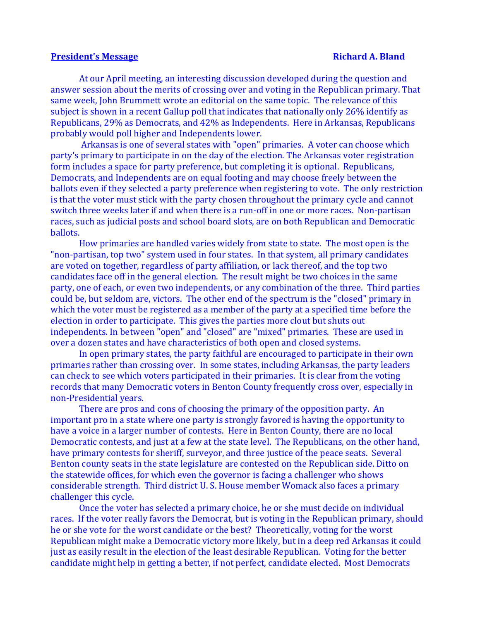#### **President's Message Richard A. Bland**

At our April meeting, an interesting discussion developed during the question and answer session about the merits of crossing over and voting in the Republican primary. That same week, John Brummett wrote an editorial on the same topic. The relevance of this subject is shown in a recent Gallup poll that indicates that nationally only 26% identify as Republicans, 29% as Democrats, and 42% as Independents. Here in Arkansas, Republicans probably would poll higher and Independents lower.

Arkansas is one of several states with "open" primaries. A voter can choose which party's primary to participate in on the day of the election. The Arkansas voter registration form includes a space for party preference, but completing it is optional. Republicans, Democrats, and Independents are on equal footing and may choose freely between the ballots even if they selected a party preference when registering to vote. The only restriction is that the voter must stick with the party chosen throughout the primary cycle and cannot switch three weeks later if and when there is a run-off in one or more races. Non-partisan races, such as judicial posts and school board slots, are on both Republican and Democratic ballots.

How primaries are handled varies widely from state to state. The most open is the "non-partisan, top two" system used in four states. In that system, all primary candidates are voted on together, regardless of party affiliation, or lack thereof, and the top two candidates face off in the general election. The result might be two choices in the same party, one of each, or even two independents, or any combination of the three. Third parties could be, but seldom are, victors. The other end of the spectrum is the "closed" primary in which the voter must be registered as a member of the party at a specified time before the election in order to participate. This gives the parties more clout but shuts out independents. In between "open" and "closed" are "mixed" primaries. These are used in over a dozen states and have characteristics of both open and closed systems.

In open primary states, the party faithful are encouraged to participate in their own primaries rather than crossing over. In some states, including Arkansas, the party leaders can check to see which voters participated in their primaries. It is clear from the voting records that many Democratic voters in Benton County frequently cross over, especially in non-Presidential years.

There are pros and cons of choosing the primary of the opposition party. An important pro in a state where one party is strongly favored is having the opportunity to have a voice in a larger number of contests. Here in Benton County, there are no local Democratic contests, and just at a few at the state level. The Republicans, on the other hand, have primary contests for sheriff, surveyor, and three justice of the peace seats. Several Benton county seats in the state legislature are contested on the Republican side. Ditto on the statewide offices, for which even the governor is facing a challenger who shows considerable strength. Third district U. S. House member Womack also faces a primary challenger this cycle.

Once the voter has selected a primary choice, he or she must decide on individual races. If the voter really favors the Democrat, but is voting in the Republican primary, should he or she vote for the worst candidate or the best? Theoretically, voting for the worst Republican might make a Democratic victory more likely, but in a deep red Arkansas it could just as easily result in the election of the least desirable Republican. Voting for the better candidate might help in getting a better, if not perfect, candidate elected. Most Democrats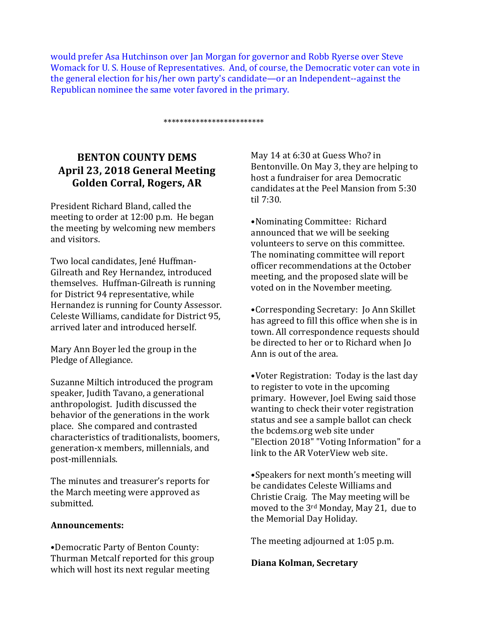would prefer Asa Hutchinson over Jan Morgan for governor and Robb Ryerse over Steve Womack for U. S. House of Representatives. And, of course, the Democratic voter can vote in the general election for his/her own party's candidate—or an Independent--against the Republican nominee the same voter favored in the primary.

\*\*\*\*\*\*\*\*\*\*\*\*\*\*\*\*\*\*\*\*\*\*\*\*\*

# **BENTON COUNTY DEMS April 23, 2018 General Meeting** Golden Corral, Rogers, AR

President Richard Bland, called the meeting to order at  $12:00$  p.m. He began the meeting by welcoming new members and visitors.

Two local candidates, Jené Huffman-Gilreath and Rey Hernandez, introduced themselves. Huffman-Gilreath is running for District 94 representative, while Hernandez is running for County Assessor. Celeste Williams, candidate for District 95, arrived later and introduced herself.

Mary Ann Boyer led the group in the Pledge of Allegiance.

Suzanne Miltich introduced the program speaker, Judith Tavano, a generational anthropologist. Judith discussed the behavior of the generations in the work place. She compared and contrasted characteristics of traditionalists, boomers, generation-x members, millennials, and post-millennials. 

The minutes and treasurer's reports for the March meeting were approved as submitted.

### **Announcements:**

•Democratic Party of Benton County: Thurman Metcalf reported for this group which will host its next regular meeting

May 14 at 6:30 at Guess Who? in Bentonville. On May 3, they are helping to host a fundraiser for area Democratic candidates at the Peel Mansion from 5:30 til 7:30.

•Nominating Committee: Richard announced that we will be seeking volunteers to serve on this committee. The nominating committee will report officer recommendations at the October meeting, and the proposed slate will be voted on in the November meeting.

•Corresponding Secretary: Jo Ann Skillet has agreed to fill this office when she is in town. All correspondence requests should be directed to her or to Richard when Io Ann is out of the area.

•Voter Registration: Today is the last day to register to vote in the upcoming primary. However, Joel Ewing said those wanting to check their voter registration status and see a sample ballot can check the bcdems.org web site under "Election 2018" "Voting Information" for a link to the AR VoterView web site.

•Speakers for next month's meeting will be candidates Celeste Williams and Christie Craig. The May meeting will be moved to the  $3^{\text{rd}}$  Monday, May 21, due to the Memorial Day Holiday.

The meeting adjourned at 1:05 p.m.

### **Diana Kolman, Secretary**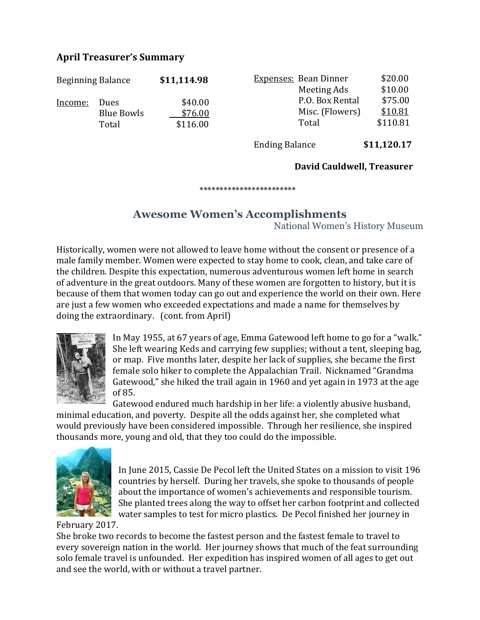# **April Treasurer's Summary**

| <b>Beginning Balance</b> |             | \$11,114.98 | <b>Expenses: Bean Dinner</b> | \$20.00  |
|--------------------------|-------------|-------------|------------------------------|----------|
|                          |             |             | Meeting Ads                  | \$10.00  |
| Income:                  | <b>Dues</b> | \$40.00     | P.O. Box Rental              | \$75.00  |
|                          | Blue Bowls  | \$76.00     | Misc. (Flowers)              | \$10.81  |
|                          | Total       | \$116.00    | Total                        | \$110.81 |

Ending Balance **\$11,120.17** 

## David Cauldwell, Treasurer

 \*\*\*\*\*\*\*\*\*\*\*\*\*\*\*\*\*\*\*\*\*\*\*\*

# **Awesome Women's Accomplishments**

National Women's History Museum

Historically, women were not allowed to leave home without the consent or presence of a male family member. Women were expected to stay home to cook, clean, and take care of the children. Despite this expectation, numerous adventurous women left home in search of adventure in the great outdoors. Many of these women are forgotten to history, but it is because of them that women today can go out and experience the world on their own. Here are just a few women who exceeded expectations and made a name for themselves by doing the extraordinary. (cont. from April)



In May 1955, at 67 years of age, Emma Gatewood left home to go for a "walk." She left wearing Keds and carrying few supplies; without a tent, sleeping bag, or map. Five months later, despite her lack of supplies, she became the first female solo hiker to complete the Appalachian Trail. Nicknamed "Grandma Gatewood," she hiked the trail again in 1960 and yet again in 1973 at the age of 85.

Gatewood endured much hardship in her life: a violently abusive husband, minimal education, and poverty. Despite all the odds against her, she completed what would previously have been considered impossible. Through her resilience, she inspired thousands more, young and old, that they too could do the impossible.



In June 2015, Cassie De Pecol left the United States on a mission to visit 196 countries by herself. During her travels, she spoke to thousands of people about the importance of women's achievements and responsible tourism. She planted trees along the way to offset her carbon footprint and collected water samples to test for micro plastics. De Pecol finished her journey in

# February 2017.

She broke two records to become the fastest person and the fastest female to travel to every sovereign nation in the world. Her journey shows that much of the feat surrounding solo female travel is unfounded. Her expedition has inspired women of all ages to get out and see the world, with or without a travel partner.